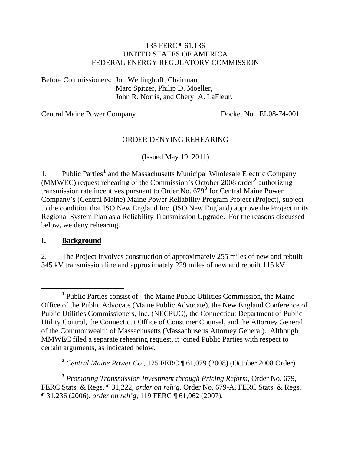#### 135 FERC ¶ 61,136 UNITED STATES OF AMERICA FEDERAL ENERGY REGULATORY COMMISSION

Before Commissioners: Jon Wellinghoff, Chairman; Marc Spitzer, Philip D. Moeller, John R. Norris, and Cheryl A. LaFleur.

Central Maine Power Company Docket No. EL08-74-001

#### ORDER DENYING REHEARING

(Issued May 19, 2011)

[1](#page-0-0). Public Parties<sup>1</sup> and the Massachusetts Municipal Wholesale Electric Company (MMWEC) request rehearing of the Commission's October 2008 order**[2](#page-0-1)** authorizing transmission rate incentives pursuant to Order No. 679**[3](#page-0-2)** for Central Maine Power Company's (Central Maine) Maine Power Reliability Program Project (Project), subject to the condition that ISO New England Inc. (ISO New England) approve the Project in its Regional System Plan as a Reliability Transmission Upgrade. For the reasons discussed below, we deny rehearing.

#### **I. Background**

2. The Project involves construction of approximately 255 miles of new and rebuilt 345 kV transmission line and approximately 229 miles of new and rebuilt 115 kV

**<sup>2</sup>** *Central Maine Power Co*., 125 FERC ¶ 61,079 (2008) (October 2008 Order).

<span id="page-0-2"></span><span id="page-0-1"></span>**<sup>3</sup>** *Promoting Transmission Investment through Pricing Reform*, Order No. 679, FERC Stats. & Regs. ¶ 31,222, *order on reh'g*, Order No. 679-A, FERC Stats. & Regs. ¶ 31,236 (2006), *order on reh'g*, 119 FERC ¶ 61,062 (2007).

<span id="page-0-0"></span><sup>&</sup>lt;u>1</u>  $<sup>1</sup>$  Public Parties consist of: the Maine Public Utilities Commission, the Maine</sup> Office of the Public Advocate (Maine Public Advocate), the New England Conference of Public Utilities Commissioners, Inc. (NECPUC), the Connecticut Department of Public Utility Control, the Connecticut Office of Consumer Counsel, and the Attorney General of the Commonwealth of Massachusetts (Massachusetts Attorney General). Although MMWEC filed a separate rehearing request, it joined Public Parties with respect to certain arguments, as indicated below.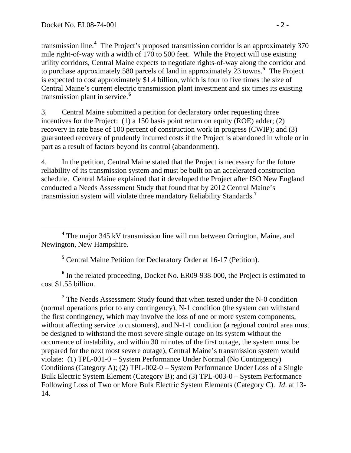transmission line.**<sup>4</sup>** The Project's proposed transmission corridor is an approximately 370 mile right-of-way with a width of 170 to 500 feet. While the Project will use existing utility corridors, Central Maine expects to negotiate rights-of-way along the corridor and to purchase approximately 580 parcels of land in approximately 23 towns.**<sup>5</sup>** The Project is expected to cost approximately \$1.4 billion, which is four to five times the size of Central Maine's current electric transmission plant investment and six times its existing transmission plant in service.**<sup>6</sup>**

3. Central Maine submitted a petition for declaratory order requesting three incentives for the Project: (1) a 150 basis point return on equity (ROE) adder; (2) recovery in rate base of 100 percent of construction work in progress (CWIP); and (3) guaranteed recovery of prudently incurred costs if the Project is abandoned in whole or in part as a result of factors beyond its control (abandonment).

4. In the petition, Central Maine stated that the Project is necessary for the future reliability of its transmission system and must be built on an accelerated construction schedule. Central Maine explained that it developed the Project after ISO New England conducted a Needs Assessment Study that found that by 2012 Central Maine's transmission system will violate three mandatory Reliability Standards.**[7](#page-1-0)**

**5** Central Maine Petition for Declaratory Order at 16-17 (Petition).

<sup>6</sup> In the related proceeding, Docket No. ER09-938-000, the Project is estimated to cost \$1.55 billion.

<span id="page-1-0"></span><sup>7</sup> The Needs Assessment Study found that when tested under the N-0 condition (normal operations prior to any contingency), N-1 condition (the system can withstand the first contingency, which may involve the loss of one or more system components, without affecting service to customers), and N-1-1 condition (a regional control area must be designed to withstand the most severe single outage on its system without the occurrence of instability, and within 30 minutes of the first outage, the system must be prepared for the next most severe outage), Central Maine's transmission system would violate: (1) TPL-001-0 – System Performance Under Normal (No Contingency) Conditions (Category A); (2) TPL-002-0 – System Performance Under Loss of a Single Bulk Electric System Element (Category B); and (3) TPL-003-0 – System Performance Following Loss of Two or More Bulk Electric System Elements (Category C). *Id*. at 13- 14.

**<sup>4</sup>** The major 345 kV transmission line will run between Orrington, Maine, and Newington, New Hampshire.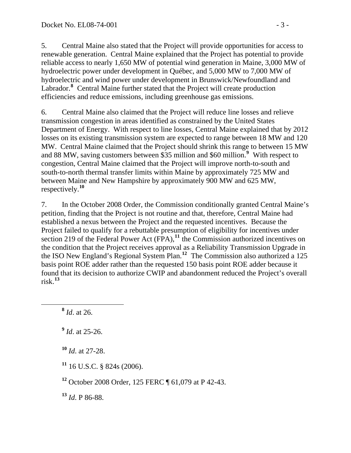5. Central Maine also stated that the Project will provide opportunities for access to renewable generation. Central Maine explained that the Project has potential to provide reliable access to nearly 1,650 MW of potential wind generation in Maine, 3,000 MW of hydroelectric power under development in Québec, and 5,000 MW to 7,000 MW of hydroelectric and wind power under development in Brunswick/Newfoundland and Labrador.<sup>[8](#page-2-0)</sup> Central Maine further stated that the Project will create production efficiencies and reduce emissions, including greenhouse gas emissions.

6. Central Maine also claimed that the Project will reduce line losses and relieve transmission congestion in areas identified as constrained by the United States Department of Energy. With respect to line losses, Central Maine explained that by 2012 losses on its existing transmission system are expected to range between 18 MW and 120 MW. Central Maine claimed that the Project should shrink this range to between 15 MW and 88 MW, saving customers between \$35 million and \$60 million.**[9](#page-2-1)** With respect to congestion, Central Maine claimed that the Project will improve north-to-south and south-to-north thermal transfer limits within Maine by approximately 725 MW and between Maine and New Hampshire by approximately 900 MW and 625 MW, respectively.**[10](#page-2-2)**

7. In the October 2008 Order, the Commission conditionally granted Central Maine's petition, finding that the Project is not routine and that, therefore, Central Maine had established a nexus between the Project and the requested incentives. Because the Project failed to qualify for a rebuttable presumption of eligibility for incentives under section 219 of the Federal Power Act (FPA),<sup>[11](#page-2-3)</sup> the Commission authorized incentives on the condition that the Project receives approval as a Reliability Transmission Upgrade in the ISO New England's Regional System Plan.**[12](#page-2-4)** The Commission also authorized a 125 basis point ROE adder rather than the requested 150 basis point ROE adder because it found that its decision to authorize CWIP and abandonment reduced the Project's overall risk.**[13](#page-2-5)**

<span id="page-2-0"></span>**<sup>8</sup>** *Id*. at 26.

<span id="page-2-1"></span>**<sup>9</sup>** *Id*. at 25-26.

<span id="page-2-2"></span>**<sup>10</sup>** *Id*. at 27-28.

<span id="page-2-3"></span>**<sup>11</sup>** 16 U.S.C. § 824s (2006).

<span id="page-2-4"></span>**<sup>12</sup>** October 2008 Order, 125 FERC ¶ 61,079 at P 42-43.

<span id="page-2-5"></span>**<sup>13</sup>** *Id*. P 86-88.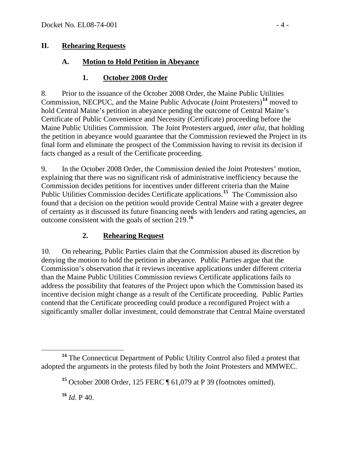### **II. Rehearing Requests**

### **A. Motion to Hold Petition in Abeyance**

### **1. October 2008 Order**

8. Prior to the issuance of the October 2008 Order, the Maine Public Utilities Commission, NECPUC, and the Maine Public Advocate (Joint Protesters)**[14](#page-3-0)** moved to hold Central Maine's petition in abeyance pending the outcome of Central Maine's Certificate of Public Convenience and Necessity (Certificate) proceeding before the Maine Public Utilities Commission. The Joint Protesters argued, *inter alia*, that holding the petition in abeyance would guarantee that the Commission reviewed the Project in its final form and eliminate the prospect of the Commission having to revisit its decision if facts changed as a result of the Certificate proceeding.

9. In the October 2008 Order, the Commission denied the Joint Protesters' motion, explaining that there was no significant risk of administrative inefficiency because the Commission decides petitions for incentives under different criteria than the Maine Public Utilities Commission decides Certificate applications.**[15](#page-3-1)** The Commission also found that a decision on the petition would provide Central Maine with a greater degree of certainty as it discussed its future financing needs with lenders and rating agencies, an outcome consistent with the goals of section 219.**[16](#page-3-2)**

### **2. Rehearing Request**

10. On rehearing, Public Parties claim that the Commission abused its discretion by denying the motion to hold the petition in abeyance. Public Parties argue that the Commission's observation that it reviews incentive applications under different criteria than the Maine Public Utilities Commission reviews Certificate applications fails to address the possibility that features of the Project upon which the Commission based its incentive decision might change as a result of the Certificate proceeding. Public Parties contend that the Certificate proceeding could produce a reconfigured Project with a significantly smaller dollar investment, could demonstrate that Central Maine overstated

 $^{16}$  *Id*. P 40.

<span id="page-3-2"></span><span id="page-3-1"></span><span id="page-3-0"></span>**<sup>14</sup>** The Connecticut Department of Public Utility Control also filed a protest that adopted the arguments in the protests filed by both the Joint Protesters and MMWEC.

**<sup>15</sup>** October 2008 Order, 125 FERC ¶ 61,079 at P 39 (footnotes omitted).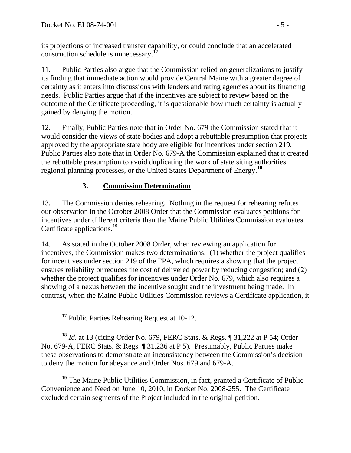its projections of increased transfer capability, or could conclude that an accelerated construction schedule is unnecessary.**<sup>17</sup>**

11. Public Parties also argue that the Commission relied on generalizations to justify its finding that immediate action would provide Central Maine with a greater degree of certainty as it enters into discussions with lenders and rating agencies about its financing needs. Public Parties argue that if the incentives are subject to review based on the outcome of the Certificate proceeding, it is questionable how much certainty is actually gained by denying the motion.

12. Finally, Public Parties note that in Order No. 679 the Commission stated that it would consider the views of state bodies and adopt a rebuttable presumption that projects approved by the appropriate state body are eligible for incentives under section 219. Public Parties also note that in Order No. 679-A the Commission explained that it created the rebuttable presumption to avoid duplicating the work of state siting authorities, regional planning processes, or the United States Department of Energy.**[18](#page-4-0)**

# **3. Commission Determination**

13. The Commission denies rehearing. Nothing in the request for rehearing refutes our observation in the October 2008 Order that the Commission evaluates petitions for incentives under different criteria than the Maine Public Utilities Commission evaluates Certificate applications.**[19](#page-4-1)**

14. As stated in the October 2008 Order, when reviewing an application for incentives, the Commission makes two determinations: (1) whether the project qualifies for incentives under section 219 of the FPA, which requires a showing that the project ensures reliability or reduces the cost of delivered power by reducing congestion; and (2) whether the project qualifies for incentives under Order No. 679, which also requires a showing of a nexus between the incentive sought and the investment being made. In contrast, when the Maine Public Utilities Commission reviews a Certificate application, it

**<sup>17</sup>** Public Parties Rehearing Request at 10-12.

<span id="page-4-0"></span>**<sup>18</sup>** *Id*. at 13 (citing Order No. 679, FERC Stats. & Regs. ¶ 31,222 at P 54; Order No. 679-A, FERC Stats. & Regs. ¶ 31,236 at P 5). Presumably, Public Parties make these observations to demonstrate an inconsistency between the Commission's decision to deny the motion for abeyance and Order Nos. 679 and 679-A.

<span id="page-4-1"></span>**<sup>19</sup>** The Maine Public Utilities Commission, in fact, granted a Certificate of Public Convenience and Need on June 10, 2010, in Docket No. 2008-255. The Certificate excluded certain segments of the Project included in the original petition.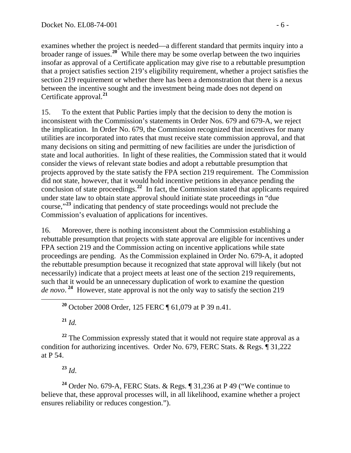examines whether the project is needed—a different standard that permits inquiry into a broader range of issues.**<sup>20</sup>** While there may be some overlap between the two inquiries insofar as approval of a Certificate application may give rise to a rebuttable presumption that a project satisfies section 219's eligibility requirement, whether a project satisfies the section 219 requirement or whether there has been a demonstration that there is a nexus between the incentive sought and the investment being made does not depend on Certificate approval.**<sup>21</sup>**

15. To the extent that Public Parties imply that the decision to deny the motion is inconsistent with the Commission's statements in Order Nos. 679 and 679-A, we reject the implication. In Order No. 679, the Commission recognized that incentives for many utilities are incorporated into rates that must receive state commission approval, and that many decisions on siting and permitting of new facilities are under the jurisdiction of state and local authorities. In light of these realities, the Commission stated that it would consider the views of relevant state bodies and adopt a rebuttable presumption that projects approved by the state satisfy the FPA section 219 requirement. The Commission did not state, however, that it would hold incentive petitions in abeyance pending the conclusion of state proceedings.**[22](#page-5-0)** In fact, the Commission stated that applicants required under state law to obtain state approval should initiate state proceedings in "due course,"**[23](#page-5-1)** indicating that pendency of state proceedings would not preclude the Commission's evaluation of applications for incentives.

16. Moreover, there is nothing inconsistent about the Commission establishing a rebuttable presumption that projects with state approval are eligible for incentives under FPA section 219 and the Commission acting on incentive applications while state proceedings are pending. As the Commission explained in Order No. 679-A, it adopted the rebuttable presumption because it recognized that state approval will likely (but not necessarily) indicate that a project meets at least one of the section 219 requirements, such that it would be an unnecessary duplication of work to examine the question *de novo*. **[24](#page-5-2)** However, state approval is not the only way to satisfy the section 219

**<sup>20</sup>** October 2008 Order, 125 FERC ¶ 61,079 at P 39 n.41.

**<sup>21</sup>** *Id.*

<span id="page-5-0"></span>**<sup>22</sup>** The Commission expressly stated that it would not require state approval as a condition for authorizing incentives. Order No. 679, FERC Stats. & Regs. ¶ 31,222 at P 54.

**<sup>23</sup>** *Id*.

<span id="page-5-2"></span><span id="page-5-1"></span>**<sup>24</sup>** Order No. 679-A, FERC Stats. & Regs. ¶ 31,236 at P 49 ("We continue to believe that, these approval processes will, in all likelihood, examine whether a project ensures reliability or reduces congestion.").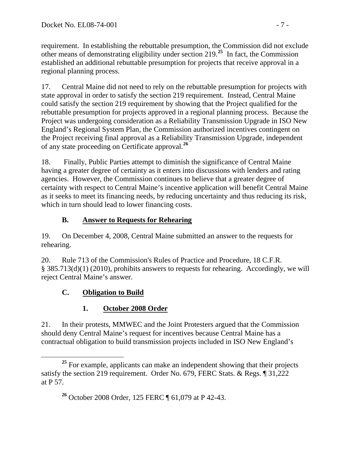requirement. In establishing the rebuttable presumption, the Commission did not exclude other means of demonstrating eligibility under section 219.**<sup>25</sup>** In fact, the Commission established an additional rebuttable presumption for projects that receive approval in a regional planning process.

17. Central Maine did not need to rely on the rebuttable presumption for projects with state approval in order to satisfy the section 219 requirement. Instead, Central Maine could satisfy the section 219 requirement by showing that the Project qualified for the rebuttable presumption for projects approved in a regional planning process. Because the Project was undergoing consideration as a Reliability Transmission Upgrade in ISO New England's Regional System Plan, the Commission authorized incentives contingent on the Project receiving final approval as a Reliability Transmission Upgrade, independent of any state proceeding on Certificate approval.**[26](#page-6-0)**

18. Finally, Public Parties attempt to diminish the significance of Central Maine having a greater degree of certainty as it enters into discussions with lenders and rating agencies. However, the Commission continues to believe that a greater degree of certainty with respect to Central Maine's incentive application will benefit Central Maine as it seeks to meet its financing needs, by reducing uncertainty and thus reducing its risk, which in turn should lead to lower financing costs.

# **B. Answer to Requests for Rehearing**

19. On December 4, 2008, Central Maine submitted an answer to the requests for rehearing.

20. Rule 713 of the Commission's Rules of Practice and Procedure, 18 C.F.R. § 385.713(d)(1) (2010), prohibits answers to requests for rehearing. Accordingly, we will reject Central Maine's answer.

# **C. Obligation to Build**

# **1. October 2008 Order**

21. In their protests, MMWEC and the Joint Protesters argued that the Commission should deny Central Maine's request for incentives because Central Maine has a contractual obligation to build transmission projects included in ISO New England's

<span id="page-6-0"></span><sup>&</sup>lt;sup>25</sup> For example, applicants can make an independent showing that their projects satisfy the section 219 requirement. Order No. 679, FERC Stats. & Regs. ¶ 31,222 at P 57.

**<sup>26</sup>** October 2008 Order, 125 FERC ¶ 61,079 at P 42-43.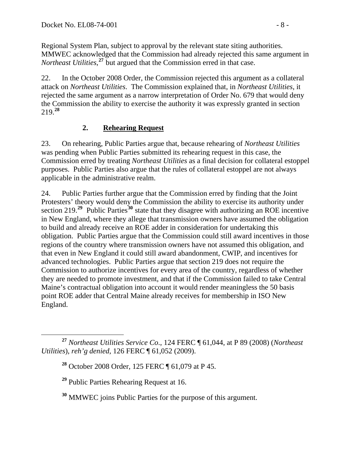Regional System Plan, subject to approval by the relevant state siting authorities. MMWEC acknowledged that the Commission had already rejected this same argument in *Northeast Utilities*,<sup>27</sup> but argued that the Commission erred in that case.

22. In the October 2008 Order, the Commission rejected this argument as a collateral attack on *Northeast Utilities*. The Commission explained that, in *Northeast Utilities*, it rejected the same argument as a narrow interpretation of Order No. 679 that would deny the Commission the ability to exercise the authority it was expressly granted in section 219.**[28](#page-7-0)**

# **2. Rehearing Request**

23. On rehearing, Public Parties argue that, because rehearing of *Northeast Utilities* was pending when Public Parties submitted its rehearing request in this case, the Commission erred by treating *Northeast Utilities* as a final decision for collateral estoppel purposes. Public Parties also argue that the rules of collateral estoppel are not always applicable in the administrative realm.

24. Public Parties further argue that the Commission erred by finding that the Joint Protesters' theory would deny the Commission the ability to exercise its authority under section 219.**[29](#page-7-1)** Public Parties**[30](#page-7-2)** state that they disagree with authorizing an ROE incentive in New England, where they allege that transmission owners have assumed the obligation to build and already receive an ROE adder in consideration for undertaking this obligation. Public Parties argue that the Commission could still award incentives in those regions of the country where transmission owners have not assumed this obligation, and that even in New England it could still award abandonment, CWIP, and incentives for advanced technologies. Public Parties argue that section 219 does not require the Commission to authorize incentives for every area of the country, regardless of whether they are needed to promote investment, and that if the Commission failed to take Central Maine's contractual obligation into account it would render meaningless the 50 basis point ROE adder that Central Maine already receives for membership in ISO New England.

<span id="page-7-1"></span><span id="page-7-0"></span>**<sup>27</sup>** *Northeast Utilities Service Co*., 124 FERC ¶ 61,044, at P 89 (2008) (*Northeast Utilities*), *reh'g denied*, 126 FERC ¶ 61,052 (2009).

**<sup>28</sup>** October 2008 Order, 125 FERC ¶ 61,079 at P 45.

**<sup>29</sup>** Public Parties Rehearing Request at 16.

<span id="page-7-2"></span>**<sup>30</sup>** MMWEC joins Public Parties for the purpose of this argument.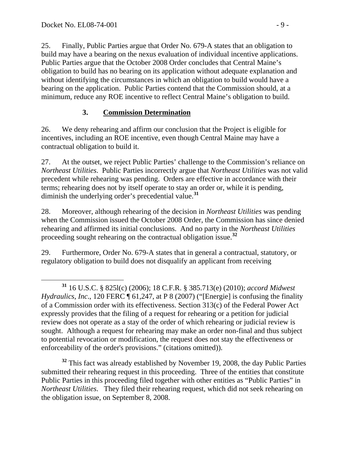25. Finally, Public Parties argue that Order No. 679-A states that an obligation to build may have a bearing on the nexus evaluation of individual incentive applications. Public Parties argue that the October 2008 Order concludes that Central Maine's obligation to build has no bearing on its application without adequate explanation and without identifying the circumstances in which an obligation to build would have a bearing on the application. Public Parties contend that the Commission should, at a minimum, reduce any ROE incentive to reflect Central Maine's obligation to build.

### **3. Commission Determination**

26. We deny rehearing and affirm our conclusion that the Project is eligible for incentives, including an ROE incentive, even though Central Maine may have a contractual obligation to build it.

27. At the outset, we reject Public Parties' challenge to the Commission's reliance on *Northeast Utilities*. Public Parties incorrectly argue that *Northeast Utilities* was not valid precedent while rehearing was pending. Orders are effective in accordance with their terms; rehearing does not by itself operate to stay an order or, while it is pending, diminish the underlying order's precedential value.**[31](#page-8-0)**

28. Moreover, although rehearing of the decision in *Northeast Utilities* was pending when the Commission issued the October 2008 Order, the Commission has since denied rehearing and affirmed its initial conclusions. And no party in the *Northeast Utilities* proceeding sought rehearing on the contractual obligation issue.**[32](#page-8-1)**

29. Furthermore, Order No. 679-A states that in general a contractual, statutory, or regulatory obligation to build does not disqualify an applicant from receiving

<span id="page-8-1"></span>**<sup>32</sup>** This fact was already established by November 19, 2008, the day Public Parties submitted their rehearing request in this proceeding. Three of the entities that constitute Public Parties in this proceeding filed together with other entities as "Public Parties" in *Northeast Utilities*. They filed their rehearing request, which did not seek rehearing on the obligation issue, on September 8, 2008.

<span id="page-8-0"></span>**<sup>31</sup>** 16 U.S.C. § 825l(c) (2006); 18 C.F.R. § 385.713(e) (2010); *accord Midwest Hydraulics*, *Inc*., 120 FERC ¶ 61,247, at P 8 (2007) ("[Energie] is confusing the finality of a Commission order with its effectiveness. Section 313(c) of the Federal Power Act expressly provides that the filing of a request for rehearing or a petition for judicial review does not operate as a stay of the order of which rehearing or judicial review is sought. Although a request for rehearing may make an order non-final and thus subject to potential revocation or modification, the request does not stay the effectiveness or enforceability of the order's provisions." (citations omitted)).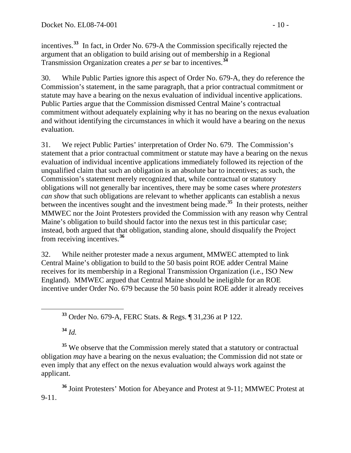incentives.**<sup>33</sup>** In fact, in Order No. 679-A the Commission specifically rejected the argument that an obligation to build arising out of membership in a Regional Transmission Organization creates a *per se* bar to incentives.**<sup>34</sup>**

30. While Public Parties ignore this aspect of Order No. 679-A, they do reference the Commission's statement, in the same paragraph, that a prior contractual commitment or statute may have a bearing on the nexus evaluation of individual incentive applications. Public Parties argue that the Commission dismissed Central Maine's contractual commitment without adequately explaining why it has no bearing on the nexus evaluation and without identifying the circumstances in which it would have a bearing on the nexus evaluation.

31. We reject Public Parties' interpretation of Order No. 679. The Commission's statement that a prior contractual commitment or statute may have a bearing on the nexus evaluation of individual incentive applications immediately followed its rejection of the unqualified claim that such an obligation is an absolute bar to incentives; as such, the Commission's statement merely recognized that, while contractual or statutory obligations will not generally bar incentives, there may be some cases where *protesters can show* that such obligations are relevant to whether applicants can establish a nexus between the incentives sought and the investment being made.**[35](#page-9-0)** In their protests, neither MMWEC nor the Joint Protesters provided the Commission with any reason why Central Maine's obligation to build should factor into the nexus test in this particular case; instead, both argued that that obligation, standing alone, should disqualify the Project from receiving incentives.**[36](#page-9-1)**

32. While neither protester made a nexus argument, MMWEC attempted to link Central Maine's obligation to build to the 50 basis point ROE adder Central Maine receives for its membership in a Regional Transmission Organization (i.e., ISO New England). MMWEC argued that Central Maine should be ineligible for an ROE incentive under Order No. 679 because the 50 basis point ROE adder it already receives

**<sup>34</sup>** *Id.* 

<span id="page-9-0"></span><sup>35</sup> We observe that the Commission merely stated that a statutory or contractual obligation *may* have a bearing on the nexus evaluation; the Commission did not state or even imply that any effect on the nexus evaluation would always work against the applicant.

<span id="page-9-1"></span>**<sup>36</sup>** Joint Protesters' Motion for Abeyance and Protest at 9-11; MMWEC Protest at 9-11.

**<sup>33</sup>** Order No. 679-A, FERC Stats. & Regs. ¶ 31,236 at P 122.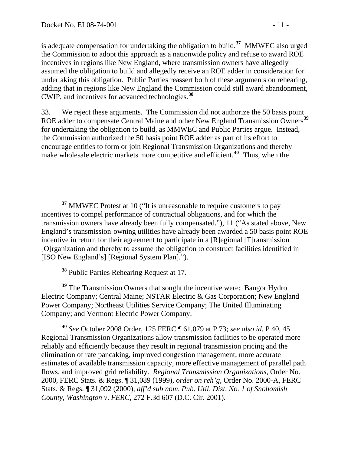is adequate compensation for undertaking the obligation to build.**<sup>37</sup>** MMWEC also urged the Commission to adopt this approach as a nationwide policy and refuse to award ROE incentives in regions like New England, where transmission owners have allegedly assumed the obligation to build and allegedly receive an ROE adder in consideration for undertaking this obligation. Public Parties reassert both of these arguments on rehearing, adding that in regions like New England the Commission could still award abandonment, CWIP, and incentives for advanced technologies.**<sup>38</sup>**

33. We reject these arguments. The Commission did not authorize the 50 basis point ROE adder to compensate Central Maine and other New England Transmission Owners<sup>[39](#page-10-0)</sup> for undertaking the obligation to build, as MMWEC and Public Parties argue. Instead, the Commission authorized the 50 basis point ROE adder as part of its effort to encourage entities to form or join Regional Transmission Organizations and thereby make wholesale electric markets more competitive and efficient.**[40](#page-10-1)** Thus, when the

**<sup>38</sup>** Public Parties Rehearing Request at 17.

<span id="page-10-0"></span><sup>39</sup> The Transmission Owners that sought the incentive were: Bangor Hydro Electric Company; Central Maine; NSTAR Electric & Gas Corporation; New England Power Company; Northeast Utilities Service Company; The United Illuminating Company; and Vermont Electric Power Company.

<span id="page-10-1"></span>**<sup>40</sup>** *See* October 2008 Order, 125 FERC ¶ 61,079 at P 73; *see also id.* P 40, 45. Regional Transmission Organizations allow transmission facilities to be operated more reliably and efficiently because they result in regional transmission pricing and the elimination of rate pancaking, improved congestion management, more accurate estimates of available transmission capacity, more effective management of parallel path flows, and improved grid reliability. *Regional Transmission Organizations*, Order No. 2000, FERC Stats. & Regs. ¶ 31,089 (1999), *order on reh'g*, Order No. 2000-A, FERC Stats. & Regs. ¶ 31,092 (2000), *aff'd sub nom*. *Pub*. *Util*. *Dist*. *No. 1 of Snohomish County, Washington v*. *FERC*, 272 F.3d 607 (D.C. Cir. 2001).

<sup>&</sup>lt;sup>37</sup> MMWEC Protest at 10 ("It is unreasonable to require customers to pay incentives to compel performance of contractual obligations, and for which the transmission owners have already been fully compensated."), 11 ("As stated above, New England's transmission-owning utilities have already been awarded a 50 basis point ROE incentive in return for their agreement to participate in a [R]egional [T]ransmission [O]rganization and thereby to assume the obligation to construct facilities identified in [ISO New England's] [Regional System Plan].").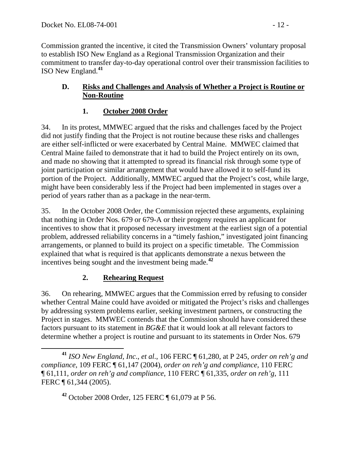Commission granted the incentive, it cited the Transmission Owners' voluntary proposal to establish ISO New England as a Regional Transmission Organization and their commitment to transfer day-to-day operational control over their transmission facilities to ISO New England.**[41](#page-11-0)**

### **D. Risks and Challenges and Analysis of Whether a Project is Routine or Non-Routine**

# **1. October 2008 Order**

34. In its protest, MMWEC argued that the risks and challenges faced by the Project did not justify finding that the Project is not routine because these risks and challenges are either self-inflicted or were exacerbated by Central Maine. MMWEC claimed that Central Maine failed to demonstrate that it had to build the Project entirely on its own, and made no showing that it attempted to spread its financial risk through some type of joint participation or similar arrangement that would have allowed it to self-fund its portion of the Project. Additionally, MMWEC argued that the Project's cost, while large, might have been considerably less if the Project had been implemented in stages over a period of years rather than as a package in the near-term.

35. In the October 2008 Order, the Commission rejected these arguments, explaining that nothing in Order Nos. 679 or 679-A or their progeny requires an applicant for incentives to show that it proposed necessary investment at the earliest sign of a potential problem, addressed reliability concerns in a "timely fashion," investigated joint financing arrangements, or planned to build its project on a specific timetable. The Commission explained that what is required is that applicants demonstrate a nexus between the incentives being sought and the investment being made.**[42](#page-11-1)**

# **2. Rehearing Request**

36. On rehearing, MMWEC argues that the Commission erred by refusing to consider whether Central Maine could have avoided or mitigated the Project's risks and challenges by addressing system problems earlier, seeking investment partners, or constructing the Project in stages. MMWEC contends that the Commission should have considered these factors pursuant to its statement in *BG&E* that it would look at all relevant factors to determine whether a project is routine and pursuant to its statements in Order Nos. 679

**<sup>42</sup>** October 2008 Order, 125 FERC ¶ 61,079 at P 56.

<span id="page-11-1"></span><span id="page-11-0"></span>**<sup>41</sup>** *ISO New England*, *Inc*., *et al*., 106 FERC ¶ 61,280, at P 245, *order on reh'g and compliance*, 109 FERC ¶ 61,147 (2004), *order on reh'g and compliance*, 110 FERC ¶ 61,111, *order on reh'g and compliance*, 110 FERC ¶ 61,335, *order on reh'g*, 111 FERC ¶ 61,344 (2005).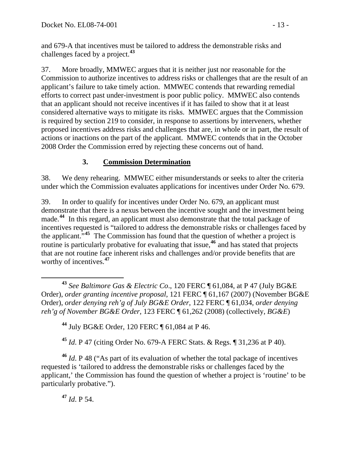and 679-A that incentives must be tailored to address the demonstrable risks and challenges faced by a project.**<sup>43</sup>**

37. More broadly, MMWEC argues that it is neither just nor reasonable for the Commission to authorize incentives to address risks or challenges that are the result of an applicant's failure to take timely action. MMWEC contends that rewarding remedial efforts to correct past under-investment is poor public policy. MMWEC also contends that an applicant should not receive incentives if it has failed to show that it at least considered alternative ways to mitigate its risks. MMWEC argues that the Commission is required by section 219 to consider, in response to assertions by interveners, whether proposed incentives address risks and challenges that are, in whole or in part, the result of actions or inactions on the part of the applicant. MMWEC contends that in the October 2008 Order the Commission erred by rejecting these concerns out of hand.

# **3. Commission Determination**

38. We deny rehearing. MMWEC either misunderstands or seeks to alter the criteria under which the Commission evaluates applications for incentives under Order No. 679.

39. In order to qualify for incentives under Order No. 679, an applicant must demonstrate that there is a nexus between the incentive sought and the investment being made.<sup>[44](#page-12-0)</sup> In this regard, an applicant must also demonstrate that the total package of incentives requested is "tailored to address the demonstrable risks or challenges faced by the applicant."**[45](#page-12-1)** The Commission has found that the question of whether a project is routine is particularly probative for evaluating that issue,**[46](#page-12-2)** and has stated that projects that are not routine face inherent risks and challenges and/or provide benefits that are worthy of incentives.**[47](#page-12-3)**

 **<sup>43</sup>** *See Baltimore Gas & Electric Co*., 120 FERC ¶ 61,084, at P 47 (July BG&E Order), *order granting incentive proposal*, 121 FERC ¶ 61,167 (2007) (November BG&E Order), *order denying reh'g of July BG&E Order*, 122 FERC ¶ 61,034, *order denying reh'g of November BG&E Order*, 123 FERC ¶ 61,262 (2008) (collectively, *BG&E*)

**<sup>44</sup>** July BG&E Order, 120 FERC ¶ 61,084 at P 46.

**<sup>45</sup>** *Id*. P 47 (citing Order No. 679-A FERC Stats. & Regs. ¶ 31,236 at P 40).

<span id="page-12-3"></span><span id="page-12-2"></span><span id="page-12-1"></span><span id="page-12-0"></span>**<sup>46</sup>** *Id*. P 48 ("As part of its evaluation of whether the total package of incentives requested is 'tailored to address the demonstrable risks or challenges faced by the applicant,' the Commission has found the question of whether a project is 'routine' to be particularly probative.").

**<sup>47</sup>** *Id*. P 54.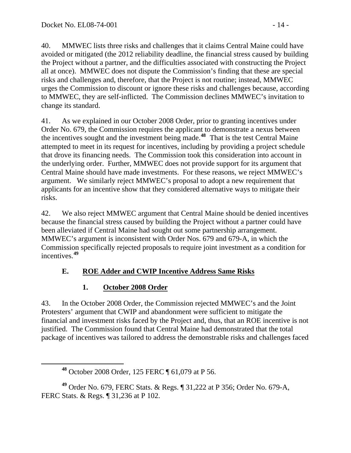40. MMWEC lists three risks and challenges that it claims Central Maine could have avoided or mitigated (the 2012 reliability deadline, the financial stress caused by building the Project without a partner, and the difficulties associated with constructing the Project all at once). MMWEC does not dispute the Commission's finding that these are special risks and challenges and, therefore, that the Project is not routine; instead, MMWEC urges the Commission to discount or ignore these risks and challenges because, according to MMWEC, they are self-inflicted. The Commission declines MMWEC's invitation to change its standard.

41. As we explained in our October 2008 Order, prior to granting incentives under Order No. 679, the Commission requires the applicant to demonstrate a nexus between the incentives sought and the investment being made.**[48](#page-13-0)** That is the test Central Maine attempted to meet in its request for incentives, including by providing a project schedule that drove its financing needs. The Commission took this consideration into account in the underlying order. Further, MMWEC does not provide support for its argument that Central Maine should have made investments. For these reasons, we reject MMWEC's argument. We similarly reject MMWEC's proposal to adopt a new requirement that applicants for an incentive show that they considered alternative ways to mitigate their risks.

42. We also reject MMWEC argument that Central Maine should be denied incentives because the financial stress caused by building the Project without a partner could have been alleviated if Central Maine had sought out some partnership arrangement. MMWEC's argument is inconsistent with Order Nos. 679 and 679-A, in which the Commission specifically rejected proposals to require joint investment as a condition for incentives.**[49](#page-13-1)**

# **E. ROE Adder and CWIP Incentive Address Same Risks**

# **1. October 2008 Order**

43. In the October 2008 Order, the Commission rejected MMWEC's and the Joint Protesters' argument that CWIP and abandonment were sufficient to mitigate the financial and investment risks faced by the Project and, thus, that an ROE incentive is not justified. The Commission found that Central Maine had demonstrated that the total package of incentives was tailored to address the demonstrable risks and challenges faced

<span id="page-13-1"></span><span id="page-13-0"></span>**<sup>49</sup>** Order No. 679, FERC Stats. & Regs. ¶ 31,222 at P 356; Order No. 679-A, FERC Stats. & Regs. ¶ 31,236 at P 102.

**<sup>48</sup>** October 2008 Order, 125 FERC ¶ 61,079 at P 56.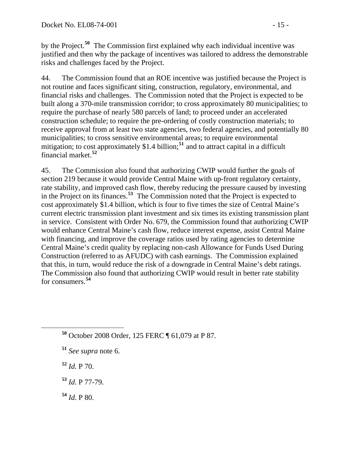by the Project.**<sup>50</sup>** The Commission first explained why each individual incentive was justified and then why the package of incentives was tailored to address the demonstrable risks and challenges faced by the Project.

44. The Commission found that an ROE incentive was justified because the Project is not routine and faces significant siting, construction, regulatory, environmental, and financial risks and challenges. The Commission noted that the Project is expected to be built along a 370-mile transmission corridor; to cross approximately 80 municipalities; to require the purchase of nearly 580 parcels of land; to proceed under an accelerated construction schedule; to require the pre-ordering of costly construction materials; to receive approval from at least two state agencies, two federal agencies, and potentially 80 municipalities; to cross sensitive environmental areas; to require environmental mitigation; to cost approximately \$1.4 billion;**[51](#page-14-0)** and to attract capital in a difficult financial market.**[52](#page-14-1)**

45. The Commission also found that authorizing CWIP would further the goals of section 219 because it would provide Central Maine with up-front regulatory certainty, rate stability, and improved cash flow, thereby reducing the pressure caused by investing in the Project on its finances.**[53](#page-14-2)** The Commission noted that the Project is expected to cost approximately \$1.4 billion, which is four to five times the size of Central Maine's current electric transmission plant investment and six times its existing transmission plant in service. Consistent with Order No. 679, the Commission found that authorizing CWIP would enhance Central Maine's cash flow, reduce interest expense, assist Central Maine with financing, and improve the coverage ratios used by rating agencies to determine Central Maine's credit quality by replacing non-cash Allowance for Funds Used During Construction (referred to as AFUDC) with cash earnings. The Commission explained that this, in turn, would reduce the risk of a downgrade in Central Maine's debt ratings. The Commission also found that authorizing CWIP would result in better rate stability for consumers.**[54](#page-14-3)**

- <span id="page-14-1"></span>**<sup>52</sup>** *Id*. P 70.
- <span id="page-14-2"></span>**<sup>53</sup>** *Id*. P 77-79.
- <span id="page-14-3"></span> $54$  *Id.* P 80.

**<sup>50</sup>** October 2008 Order, 125 FERC ¶ 61,079 at P 87.

<span id="page-14-0"></span>**<sup>51</sup>** *See supra* note 6.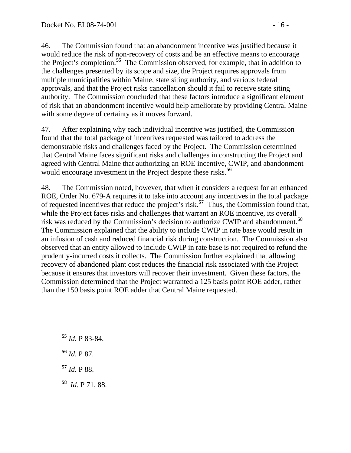46. The Commission found that an abandonment incentive was justified because it would reduce the risk of non-recovery of costs and be an effective means to encourage the Project's completion.**[55](#page-15-0)** The Commission observed, for example, that in addition to the challenges presented by its scope and size, the Project requires approvals from multiple municipalities within Maine, state siting authority, and various federal approvals, and that the Project risks cancellation should it fail to receive state siting authority. The Commission concluded that these factors introduce a significant element of risk that an abandonment incentive would help ameliorate by providing Central Maine with some degree of certainty as it moves forward.

47. After explaining why each individual incentive was justified, the Commission found that the total package of incentives requested was tailored to address the demonstrable risks and challenges faced by the Project. The Commission determined that Central Maine faces significant risks and challenges in constructing the Project and agreed with Central Maine that authorizing an ROE incentive, CWIP, and abandonment would encourage investment in the Project despite these risks.**[56](#page-15-1)**

48. The Commission noted, however, that when it considers a request for an enhanced ROE, Order No. 679-A requires it to take into account any incentives in the total package of requested incentives that reduce the project's risk.**[57](#page-15-2)** Thus, the Commission found that, while the Project faces risks and challenges that warrant an ROE incentive, its overall risk was reduced by the Commission's decision to authorize CWIP and abandonment.**[58](#page-15-3)** The Commission explained that the ability to include CWIP in rate base would result in an infusion of cash and reduced financial risk during construction. The Commission also observed that an entity allowed to include CWIP in rate base is not required to refund the prudently-incurred costs it collects. The Commission further explained that allowing recovery of abandoned plant cost reduces the financial risk associated with the Project because it ensures that investors will recover their investment. Given these factors, the Commission determined that the Project warranted a 125 basis point ROE adder, rather than the 150 basis point ROE adder that Central Maine requested.

- <span id="page-15-0"></span>**<sup>55</sup>** *Id*. P 83-84.
- <span id="page-15-1"></span>**<sup>56</sup>** *Id*. P 87.
- <span id="page-15-2"></span>**<sup>57</sup>** *Id*. P 88.
- <span id="page-15-3"></span>**<sup>58</sup>** *Id*. P 71, 88.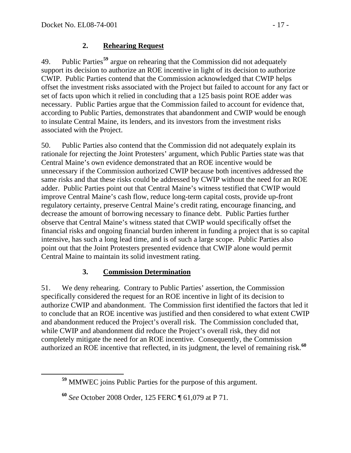### **2. Rehearing Request**

49. Public Parties**[59](#page-16-0)** argue on rehearing that the Commission did not adequately support its decision to authorize an ROE incentive in light of its decision to authorize CWIP. Public Parties contend that the Commission acknowledged that CWIP helps offset the investment risks associated with the Project but failed to account for any fact or set of facts upon which it relied in concluding that a 125 basis point ROE adder was necessary. Public Parties argue that the Commission failed to account for evidence that, according to Public Parties, demonstrates that abandonment and CWIP would be enough to insulate Central Maine, its lenders, and its investors from the investment risks associated with the Project.

50. Public Parties also contend that the Commission did not adequately explain its rationale for rejecting the Joint Protesters' argument, which Public Parties state was that Central Maine's own evidence demonstrated that an ROE incentive would be unnecessary if the Commission authorized CWIP because both incentives addressed the same risks and that these risks could be addressed by CWIP without the need for an ROE adder. Public Parties point out that Central Maine's witness testified that CWIP would improve Central Maine's cash flow, reduce long-term capital costs, provide up-front regulatory certainty, preserve Central Maine's credit rating, encourage financing, and decrease the amount of borrowing necessary to finance debt. Public Parties further observe that Central Maine's witness stated that CWIP would specifically offset the financial risks and ongoing financial burden inherent in funding a project that is so capital intensive, has such a long lead time, and is of such a large scope. Public Parties also point out that the Joint Protesters presented evidence that CWIP alone would permit Central Maine to maintain its solid investment rating.

### **3. Commission Determination**

51. We deny rehearing. Contrary to Public Parties' assertion, the Commission specifically considered the request for an ROE incentive in light of its decision to authorize CWIP and abandonment. The Commission first identified the factors that led it to conclude that an ROE incentive was justified and then considered to what extent CWIP and abandonment reduced the Project's overall risk. The Commission concluded that, while CWIP and abandonment did reduce the Project's overall risk, they did not completely mitigate the need for an ROE incentive. Consequently, the Commission authorized an ROE incentive that reflected, in its judgment, the level of remaining risk.**[60](#page-16-1)**

<span id="page-16-0"></span>**<sup>59</sup>** MMWEC joins Public Parties for the purpose of this argument.

<span id="page-16-1"></span>**<sup>60</sup>** *See* October 2008 Order, 125 FERC ¶ 61,079 at P 71.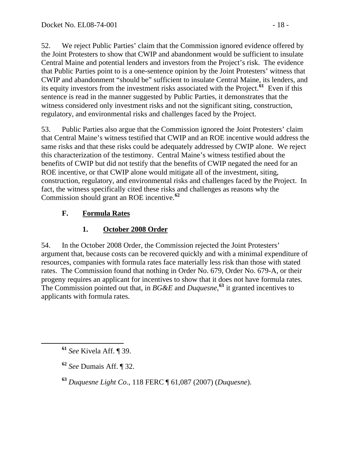52. We reject Public Parties' claim that the Commission ignored evidence offered by the Joint Protesters to show that CWIP and abandonment would be sufficient to insulate Central Maine and potential lenders and investors from the Project's risk. The evidence that Public Parties point to is a one-sentence opinion by the Joint Protesters' witness that CWIP and abandonment "should be" sufficient to insulate Central Maine, its lenders, and its equity investors from the investment risks associated with the Project.**[61](#page-17-0)** Even if this sentence is read in the manner suggested by Public Parties, it demonstrates that the witness considered only investment risks and not the significant siting, construction, regulatory, and environmental risks and challenges faced by the Project.

53. Public Parties also argue that the Commission ignored the Joint Protesters' claim that Central Maine's witness testified that CWIP and an ROE incentive would address the same risks and that these risks could be adequately addressed by CWIP alone. We reject this characterization of the testimony. Central Maine's witness testified about the benefits of CWIP but did not testify that the benefits of CWIP negated the need for an ROE incentive, or that CWIP alone would mitigate all of the investment, siting, construction, regulatory, and environmental risks and challenges faced by the Project. In fact, the witness specifically cited these risks and challenges as reasons why the Commission should grant an ROE incentive.**[62](#page-17-1)**

# **F. Formula Rates**

# **1. October 2008 Order**

54. In the October 2008 Order, the Commission rejected the Joint Protesters' argument that, because costs can be recovered quickly and with a minimal expenditure of resources, companies with formula rates face materially less risk than those with stated rates. The Commission found that nothing in Order No. 679, Order No. 679-A, or their progeny requires an applicant for incentives to show that it does not have formula rates. The Commission pointed out that, in *BG&E* and *Duquesne*, **[63](#page-17-2)** it granted incentives to applicants with formula rates.

<span id="page-17-0"></span>**<sup>61</sup>** *See* Kivela Aff. ¶ 39.

<span id="page-17-1"></span>**<sup>62</sup>** *See* Dumais Aff. ¶ 32.

<span id="page-17-2"></span>**<sup>63</sup>** *Duquesne Light Co*., 118 FERC ¶ 61,087 (2007) (*Duquesne*).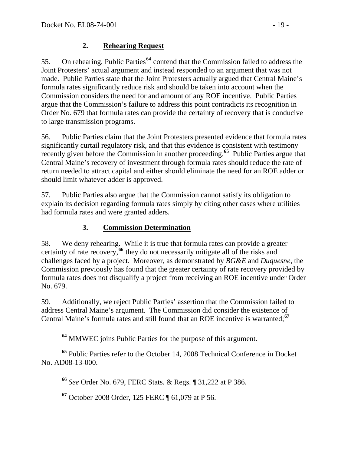### **2. Rehearing Request**

55. On rehearing, Public Parties**[64](#page-18-0)** contend that the Commission failed to address the Joint Protesters' actual argument and instead responded to an argument that was not made. Public Parties state that the Joint Protesters actually argued that Central Maine's formula rates significantly reduce risk and should be taken into account when the Commission considers the need for and amount of any ROE incentive. Public Parties argue that the Commission's failure to address this point contradicts its recognition in Order No. 679 that formula rates can provide the certainty of recovery that is conducive to large transmission programs.

56. Public Parties claim that the Joint Protesters presented evidence that formula rates significantly curtail regulatory risk, and that this evidence is consistent with testimony recently given before the Commission in another proceeding.**[65](#page-18-1)** Public Parties argue that Central Maine's recovery of investment through formula rates should reduce the rate of return needed to attract capital and either should eliminate the need for an ROE adder or should limit whatever adder is approved.

57. Public Parties also argue that the Commission cannot satisfy its obligation to explain its decision regarding formula rates simply by citing other cases where utilities had formula rates and were granted adders.

### **3. Commission Determination**

58. We deny rehearing. While it is true that formula rates can provide a greater certainty of rate recovery,**[66](#page-18-2)** they do not necessarily mitigate all of the risks and challenges faced by a project. Moreover, as demonstrated by *BG&E* and *Duquesne*, the Commission previously has found that the greater certainty of rate recovery provided by formula rates does not disqualify a project from receiving an ROE incentive under Order No. 679.

59. Additionally, we reject Public Parties' assertion that the Commission failed to address Central Maine's argument. The Commission did consider the existence of Central Maine's formula rates and still found that an ROE incentive is warranted;**[67](#page-18-3)**

<span id="page-18-3"></span><span id="page-18-2"></span><span id="page-18-1"></span><span id="page-18-0"></span>**<sup>65</sup>** Public Parties refer to the October 14, 2008 Technical Conference in Docket No. AD08-13-000.

**<sup>66</sup>** *See* Order No. 679, FERC Stats. & Regs. ¶ 31,222 at P 386.

**<sup>67</sup>** October 2008 Order, 125 FERC ¶ 61,079 at P 56.

**<sup>64</sup>** MMWEC joins Public Parties for the purpose of this argument.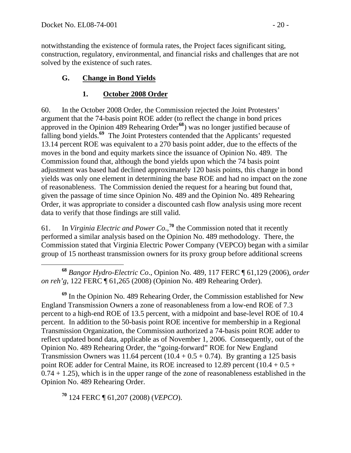notwithstanding the existence of formula rates, the Project faces significant siting, construction, regulatory, environmental, and financial risks and challenges that are not solved by the existence of such rates.

### **G. Change in Bond Yields**

### **1. October 2008 Order**

60. In the October 2008 Order, the Commission rejected the Joint Protesters' argument that the 74-basis point ROE adder (to reflect the change in bond prices approved in the Opinion 489 Rehearing Order**[68](#page-19-0)**) was no longer justified because of falling bond yields.**[69](#page-19-1)** The Joint Protesters contended that the Applicants' requested 13.14 percent ROE was equivalent to a 270 basis point adder, due to the effects of the moves in the bond and equity markets since the issuance of Opinion No. 489. The Commission found that, although the bond yields upon which the 74 basis point adjustment was based had declined approximately 120 basis points, this change in bond yields was only one element in determining the base ROE and had no impact on the zone of reasonableness. The Commission denied the request for a hearing but found that, given the passage of time since Opinion No. 489 and the Opinion No. 489 Rehearing Order, it was appropriate to consider a discounted cash flow analysis using more recent data to verify that those findings are still valid.

61. In *Virginia Electric and Power Co*.,**[70](#page-19-2)** the Commission noted that it recently performed a similar analysis based on the Opinion No. 489 methodology. There, the Commission stated that Virginia Electric Power Company (VEPCO) began with a similar group of 15 northeast transmission owners for its proxy group before additional screens

<span id="page-19-0"></span> $\overline{a}$ **<sup>68</sup>** *Bangor Hydro-Electric Co*., Opinion No. 489, 117 FERC ¶ 61,129 (2006), *order on reh'g*, 122 FERC ¶ 61,265 (2008) (Opinion No. 489 Rehearing Order).

<span id="page-19-1"></span>**<sup>69</sup>** In the Opinion No. 489 Rehearing Order, the Commission established for New England Transmission Owners a zone of reasonableness from a low-end ROE of 7.3 percent to a high-end ROE of 13.5 percent, with a midpoint and base-level ROE of 10.4 percent. In addition to the 50-basis point ROE incentive for membership in a Regional Transmission Organization, the Commission authorized a 74-basis point ROE adder to reflect updated bond data, applicable as of November 1, 2006. Consequently, out of the Opinion No. 489 Rehearing Order, the "going-forward" ROE for New England Transmission Owners was 11.64 percent  $(10.4 + 0.5 + 0.74)$ . By granting a 125 basis point ROE adder for Central Maine, its ROE increased to 12.89 percent  $(10.4 + 0.5 +$  $0.74 + 1.25$ , which is in the upper range of the zone of reasonableness established in the Opinion No. 489 Rehearing Order.

<span id="page-19-2"></span>**<sup>70</sup>** 124 FERC ¶ 61,207 (2008) (*VEPCO*).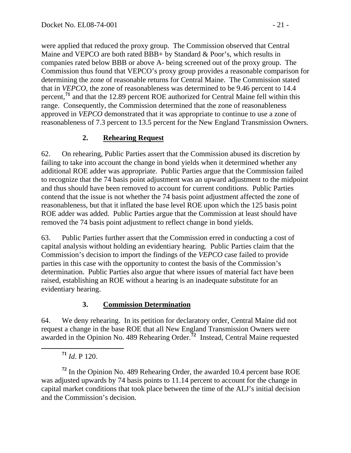were applied that reduced the proxy group. The Commission observed that Central Maine and VEPCO are both rated BBB+ by Standard & Poor's, which results in companies rated below BBB or above A- being screened out of the proxy group. The Commission thus found that VEPCO's proxy group provides a reasonable comparison for determining the zone of reasonable returns for Central Maine. The Commission stated that in *VEPCO*, the zone of reasonableness was determined to be 9.46 percent to 14.4 percent,**<sup>71</sup>** and that the 12.89 percent ROE authorized for Central Maine fell within this range. Consequently, the Commission determined that the zone of reasonableness approved in *VEPCO* demonstrated that it was appropriate to continue to use a zone of reasonableness of 7.3 percent to 13.5 percent for the New England Transmission Owners.

### **2. Rehearing Request**

62. On rehearing, Public Parties assert that the Commission abused its discretion by failing to take into account the change in bond yields when it determined whether any additional ROE adder was appropriate. Public Parties argue that the Commission failed to recognize that the 74 basis point adjustment was an upward adjustment to the midpoint and thus should have been removed to account for current conditions. Public Parties contend that the issue is not whether the 74 basis point adjustment affected the zone of reasonableness, but that it inflated the base level ROE upon which the 125 basis point ROE adder was added. Public Parties argue that the Commission at least should have removed the 74 basis point adjustment to reflect change in bond yields.

63. Public Parties further assert that the Commission erred in conducting a cost of capital analysis without holding an evidentiary hearing. Public Parties claim that the Commission's decision to import the findings of the *VEPCO* case failed to provide parties in this case with the opportunity to contest the basis of the Commission's determination. Public Parties also argue that where issues of material fact have been raised, establishing an ROE without a hearing is an inadequate substitute for an evidentiary hearing.

### **3. Commission Determination**

64. We deny rehearing. In its petition for declaratory order, Central Maine did not request a change in the base ROE that all New England Transmission Owners were awarded in the Opinion No. 489 Rehearing Order.**[72](#page-20-0)** Instead, Central Maine requested

**<sup>71</sup>** *Id*. P 120.

<span id="page-20-0"></span>**<sup>72</sup>** In the Opinion No. 489 Rehearing Order, the awarded 10.4 percent base ROE was adjusted upwards by 74 basis points to 11.14 percent to account for the change in capital market conditions that took place between the time of the ALJ's initial decision and the Commission's decision.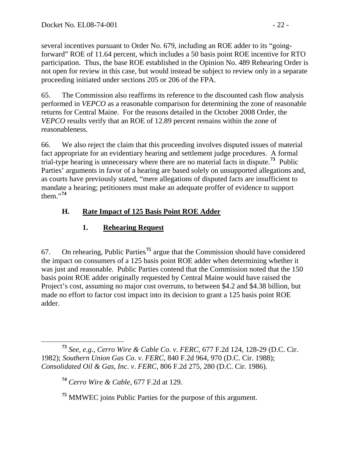several incentives pursuant to Order No. 679, including an ROE adder to its "goingforward" ROE of 11.64 percent, which includes a 50 basis point ROE incentive for RTO participation. Thus, the base ROE established in the Opinion No. 489 Rehearing Order is not open for review in this case, but would instead be subject to review only in a separate proceeding initiated under sections 205 or 206 of the FPA.

65. The Commission also reaffirms its reference to the discounted cash flow analysis performed in *VEPCO* as a reasonable comparison for determining the zone of reasonable returns for Central Maine. For the reasons detailed in the October 2008 Order, the *VEPCO* results verify that an ROE of 12.89 percent remains within the zone of reasonableness.

66. We also reject the claim that this proceeding involves disputed issues of material fact appropriate for an evidentiary hearing and settlement judge procedures. A formal trial-type hearing is unnecessary where there are no material facts in dispute.**[73](#page-21-0)** Public Parties' arguments in favor of a hearing are based solely on unsupported allegations and, as courts have previously stated, "mere allegations of disputed facts are insufficient to mandate a hearing; petitioners must make an adequate proffer of evidence to support them."**[74](#page-21-1)**

# **H. Rate Impact of 125 Basis Point ROE Adder**

# **1. Rehearing Request**

67. On rehearing, Public Parties**[75](#page-21-2)** argue that the Commission should have considered the impact on consumers of a 125 basis point ROE adder when determining whether it was just and reasonable. Public Parties contend that the Commission noted that the 150 basis point ROE adder originally requested by Central Maine would have raised the Project's cost, assuming no major cost overruns, to between \$4.2 and \$4.38 billion, but made no effort to factor cost impact into its decision to grant a 125 basis point ROE adder.

**<sup>74</sup>** *Cerro Wire & Cable*, 677 F.2d at 129.

<span id="page-21-2"></span>**<sup>75</sup>** MMWEC joins Public Parties for the purpose of this argument.

<span id="page-21-1"></span><span id="page-21-0"></span>**<sup>73</sup>** *See, e.g.*, *Cerro Wire & Cable Co*. *v*. *FERC*, 677 F.2d 124, 128-29 (D.C. Cir. 1982); *Southern Union Gas Co*. *v*. *FERC*, 840 F.2d 964, 970 (D.C. Cir. 1988); *Consolidated Oil & Gas*, *Inc*. *v*. *FERC*, 806 F.2d 275, 280 (D.C. Cir. 1986).